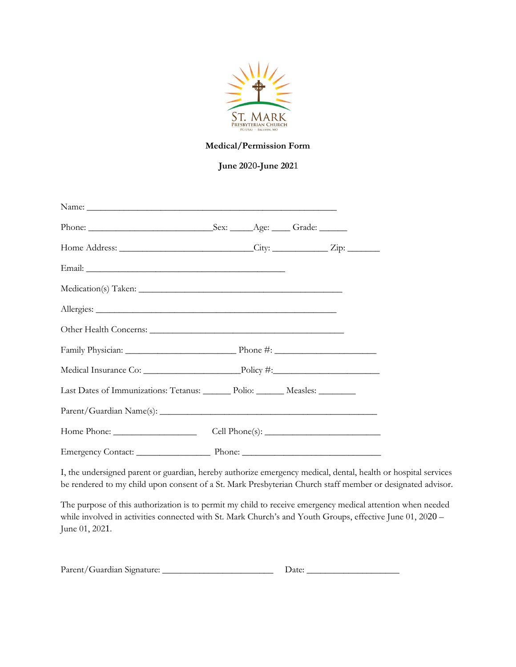

## Medical/Permission Form

June 2020-June 2021

| Home Address: ______________________________City: ______________Zip: ____________ |  |  |
|-----------------------------------------------------------------------------------|--|--|
|                                                                                   |  |  |
|                                                                                   |  |  |
|                                                                                   |  |  |
|                                                                                   |  |  |
|                                                                                   |  |  |
|                                                                                   |  |  |
| Last Dates of Immunizations: Tetanus: _______ Polio: _______ Measles: ________    |  |  |
|                                                                                   |  |  |
|                                                                                   |  |  |
|                                                                                   |  |  |

be rendered to my child upon consent of a St. Mark Presbyterian Church staff member or designated advisor. I, the undersigned parent or guardian, hereby authorize emergency medical, dental, health or hospital services

The purpose of this authorization is to permit my child to receive emergency medical attention when needed while involved in activities connected with St. Mark Church's and Youth Groups, effective June 01, 2020 – June 01, 2021.

| Parent/Guardian Signature: |  |
|----------------------------|--|
|----------------------------|--|